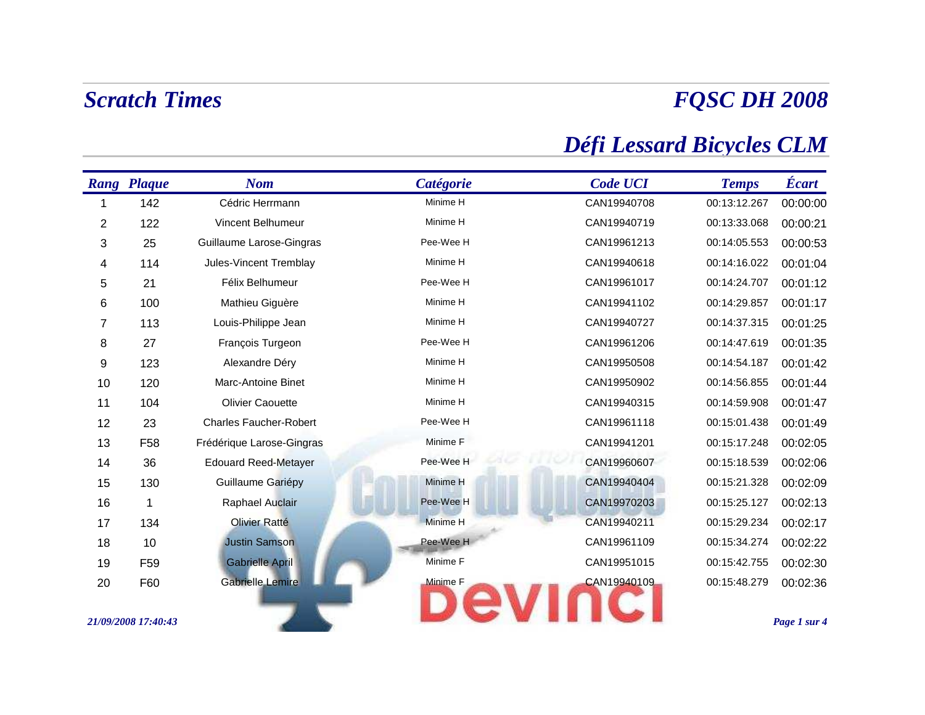# *FQSC DH 2008*

## *Défi Lessard Bicycles CLM*

|                | <b>Rang Plaque</b>  | <b>Nom</b>                    | Catégorie       | <b>Code UCI</b> | <b>Temps</b> | Écart        |
|----------------|---------------------|-------------------------------|-----------------|-----------------|--------------|--------------|
|                | 142                 | Cédric Herrmann               | Minime H        | CAN19940708     | 00:13:12.267 | 00:00:00     |
| $\overline{2}$ | 122                 | <b>Vincent Belhumeur</b>      | Minime H        | CAN19940719     | 00:13:33.068 | 00:00:21     |
| 3              | 25                  | Guillaume Larose-Gingras      | Pee-Wee H       | CAN19961213     | 00:14:05.553 | 00:00:53     |
| 4              | 114                 | Jules-Vincent Tremblay        | Minime H        | CAN19940618     | 00:14:16.022 | 00:01:04     |
| 5              | 21                  | Félix Belhumeur               | Pee-Wee H       | CAN19961017     | 00:14:24.707 | 00:01:12     |
| 6              | 100                 | Mathieu Giguère               | Minime H        | CAN19941102     | 00:14:29.857 | 00:01:17     |
| 7              | 113                 | Louis-Philippe Jean           | Minime H        | CAN19940727     | 00:14:37.315 | 00:01:25     |
| 8              | 27                  | François Turgeon              | Pee-Wee H       | CAN19961206     | 00:14:47.619 | 00:01:35     |
| 9              | 123                 | Alexandre Déry                | Minime H        | CAN19950508     | 00:14:54.187 | 00:01:42     |
| 10             | 120                 | Marc-Antoine Binet            | Minime H        | CAN19950902     | 00:14:56.855 | 00:01:44     |
| 11             | 104                 | <b>Olivier Caouette</b>       | Minime H        | CAN19940315     | 00:14:59.908 | 00:01:47     |
| 12             | 23                  | <b>Charles Faucher-Robert</b> | Pee-Wee H       | CAN19961118     | 00:15:01.438 | 00:01:49     |
| 13             | F <sub>58</sub>     | Frédérique Larose-Gingras     | Minime F        | CAN19941201     | 00:15:17.248 | 00:02:05     |
| 14             | 36                  | <b>Edouard Reed-Metayer</b>   | Pee-Wee H       | CAN19960607     | 00:15:18.539 | 00:02:06     |
| 15             | 130                 | Guillaume Gariépy             | Minime H        | CAN19940404     | 00:15:21.328 | 00:02:09     |
| 16             | 1                   | Raphael Auclair               | Pee-Wee H       | CAN19970203     | 00:15:25.127 | 00:02:13     |
| 17             | 134                 | <b>Olivier Ratté</b>          | <b>Minime H</b> | CAN19940211     | 00:15:29.234 | 00:02:17     |
| 18             | 10                  | <b>Justin Samson</b>          | Pee-Wee H       | CAN19961109     | 00:15:34.274 | 00:02:22     |
| 19             | F <sub>59</sub>     | <b>Gabrielle April</b>        | Minime F        | CAN19951015     | 00:15:42.755 | 00:02:30     |
| 20             | F60                 | <b>Gabrielle Lemire</b>       | Minime F        | CAN19940109     | 00:15:48.279 | 00:02:36     |
|                | 21/09/2008 17:40:43 |                               |                 |                 |              | Page 1 sur 4 |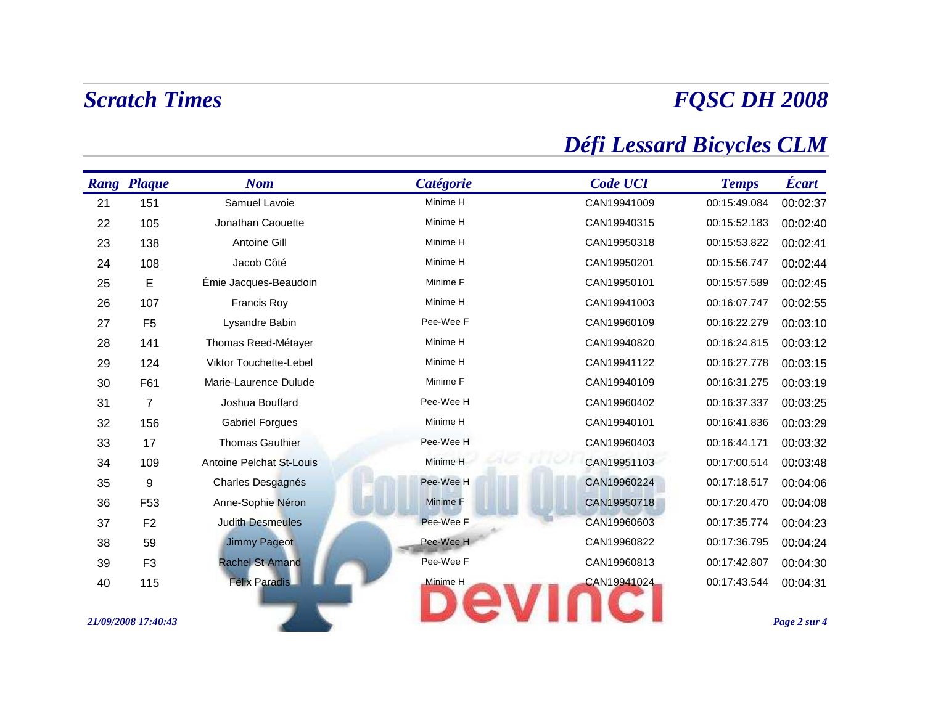# *FQSC DH 2008*

## *Défi Lessard Bicycles CLM*

|    | <b>Rang Plaque</b>  | <b>Nom</b>                      | <b>Catégorie</b> | <b>Code UCI</b> | <b>Temps</b> | <b>Écart</b> |
|----|---------------------|---------------------------------|------------------|-----------------|--------------|--------------|
| 21 | 151                 | Samuel Lavoie                   | Minime H         | CAN19941009     | 00:15:49.084 | 00:02:37     |
| 22 | 105                 | Jonathan Caouette               | Minime H         | CAN19940315     | 00:15:52.183 | 00:02:40     |
| 23 | 138                 | Antoine Gill                    | Minime H         | CAN19950318     | 00:15:53.822 | 00:02:41     |
| 24 | 108                 | Jacob Côté                      | Minime H         | CAN19950201     | 00:15:56.747 | 00:02:44     |
| 25 | E                   | Émie Jacques-Beaudoin           | Minime F         | CAN19950101     | 00:15:57.589 | 00:02:45     |
| 26 | 107                 | Francis Roy                     | Minime H         | CAN19941003     | 00:16:07.747 | 00:02:55     |
| 27 | F <sub>5</sub>      | Lysandre Babin                  | Pee-Wee F        | CAN19960109     | 00:16:22.279 | 00:03:10     |
| 28 | 141                 | Thomas Reed-Métayer             | Minime H         | CAN19940820     | 00:16:24.815 | 00:03:12     |
| 29 | 124                 | Viktor Touchette-Lebel          | Minime H         | CAN19941122     | 00:16:27.778 | 00:03:15     |
| 30 | F61                 | Marie-Laurence Dulude           | Minime F         | CAN19940109     | 00:16:31.275 | 00:03:19     |
| 31 | $\overline{7}$      | Joshua Bouffard                 | Pee-Wee H        | CAN19960402     | 00:16:37.337 | 00:03:25     |
| 32 | 156                 | <b>Gabriel Forgues</b>          | Minime H         | CAN19940101     | 00:16:41.836 | 00:03:29     |
| 33 | 17                  | <b>Thomas Gauthier</b>          | Pee-Wee H        | CAN19960403     | 00:16:44.171 | 00:03:32     |
| 34 | 109                 | <b>Antoine Pelchat St-Louis</b> | Minime H         | CAN19951103     | 00:17:00.514 | 00:03:48     |
| 35 | 9                   | Charles Desgagnés               | Pee-Wee H        | CAN19960224     | 00:17:18.517 | 00:04:06     |
| 36 | F <sub>53</sub>     | Anne-Sophie Néron               | Minime F         | CAN19950718     | 00:17:20.470 | 00:04:08     |
| 37 | F <sub>2</sub>      | <b>Judith Desmeules</b>         | Pee-Wee F        | CAN19960603     | 00:17:35.774 | 00:04:23     |
| 38 | 59                  | <b>Jimmy Pageot</b>             | Pee-Wee H        | CAN19960822     | 00:17:36.795 | 00:04:24     |
| 39 | F <sub>3</sub>      | <b>Rachel St-Amand</b>          | Pee-Wee F        | CAN19960813     | 00:17:42.807 | 00:04:30     |
| 40 | 115                 | <b>Félix Paradis</b>            | Minime H         | CAN19941024     | 00:17:43.544 | 00:04:31     |
|    |                     |                                 |                  |                 |              |              |
|    | 21/09/2008 17:40:43 |                                 |                  |                 |              | Page 2 sur 4 |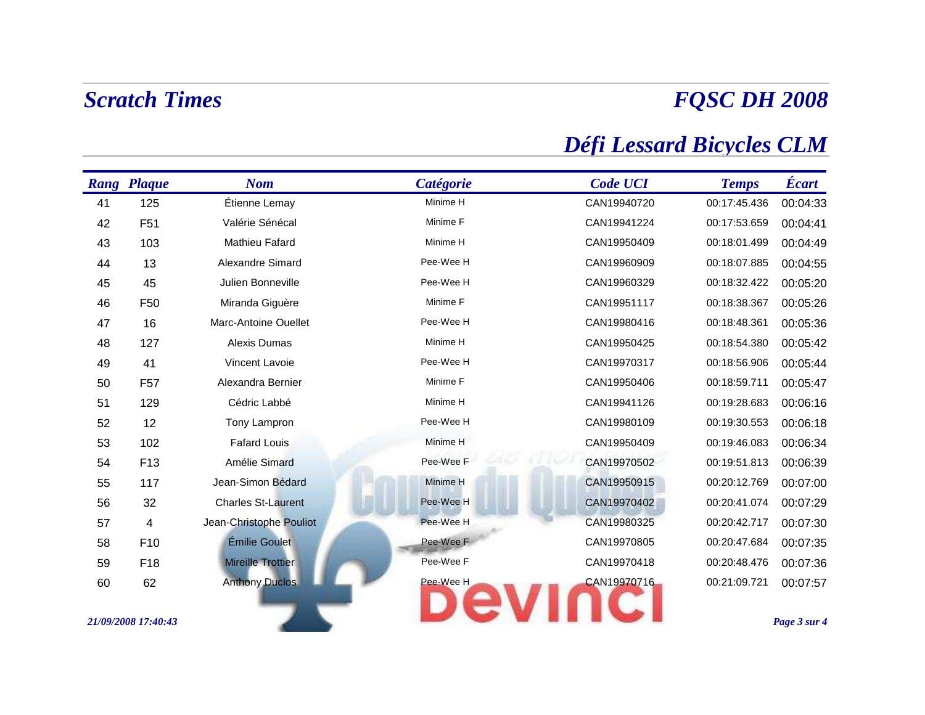# *FQSC DH 2008*

## *Défi Lessard Bicycles CLM*

|    | <b>Rang Plaque</b>      | <b>Nom</b>                | Catégorie | <b>Code UCI</b> | <b>Temps</b> | Écart        |
|----|-------------------------|---------------------------|-----------|-----------------|--------------|--------------|
| 41 | 125                     | Étienne Lemay             | Minime H  | CAN19940720     | 00:17:45.436 | 00:04:33     |
| 42 | F <sub>51</sub>         | Valérie Sénécal           | Minime F  | CAN19941224     | 00:17:53.659 | 00:04:41     |
| 43 | 103                     | Mathieu Fafard            | Minime H  | CAN19950409     | 00:18:01.499 | 00:04:49     |
| 44 | 13                      | Alexandre Simard          | Pee-Wee H | CAN19960909     | 00:18:07.885 | 00:04:55     |
| 45 | 45                      | Julien Bonneville         | Pee-Wee H | CAN19960329     | 00:18:32.422 | 00:05:20     |
| 46 | F <sub>50</sub>         | Miranda Giguère           | Minime F  | CAN19951117     | 00:18:38.367 | 00:05:26     |
| 47 | 16                      | Marc-Antoine Ouellet      | Pee-Wee H | CAN19980416     | 00:18:48.361 | 00:05:36     |
| 48 | 127                     | Alexis Dumas              | Minime H  | CAN19950425     | 00:18:54.380 | 00:05:42     |
| 49 | 41                      | Vincent Lavoie            | Pee-Wee H | CAN19970317     | 00:18:56.906 | 00:05:44     |
| 50 | F <sub>57</sub>         | Alexandra Bernier         | Minime F  | CAN19950406     | 00:18:59.711 | 00:05:47     |
| 51 | 129                     | Cédric Labbé              | Minime H  | CAN19941126     | 00:19:28.683 | 00:06:16     |
| 52 | 12                      | Tony Lampron              | Pee-Wee H | CAN19980109     | 00:19:30.553 | 00:06:18     |
| 53 | 102                     | <b>Fafard Louis</b>       | Minime H  | CAN19950409     | 00:19:46.083 | 00:06:34     |
| 54 | F <sub>13</sub>         | Amélie Simard             | Pee-Wee F | CAN19970502     | 00:19:51.813 | 00:06:39     |
| 55 | 117                     | Jean-Simon Bédard         | Minime H  | CAN19950915     | 00:20:12.769 | 00:07:00     |
| 56 | 32                      | <b>Charles St-Laurent</b> | Pee-Wee H | CAN19970402     | 00:20:41.074 | 00:07:29     |
| 57 | $\overline{\mathbf{4}}$ | Jean-Christophe Pouliot   | Pee-Wee H | CAN19980325     | 00:20:42.717 | 00:07:30     |
| 58 | F10                     | Émilie Goulet             | Pee-Wee F | CAN19970805     | 00:20:47.684 | 00:07:35     |
| 59 | F18                     | <b>Mireille Trottier</b>  | Pee-Wee F | CAN19970418     | 00:20:48.476 | 00:07:36     |
| 60 | 62                      | <b>Anthony Duclos</b>     | Pee-Wee H | CAN19970716     | 00:21:09.721 | 00:07:57     |
|    |                         |                           |           |                 |              |              |
|    | 21/09/2008 17:40:43     |                           |           |                 |              | Page 3 sur 4 |